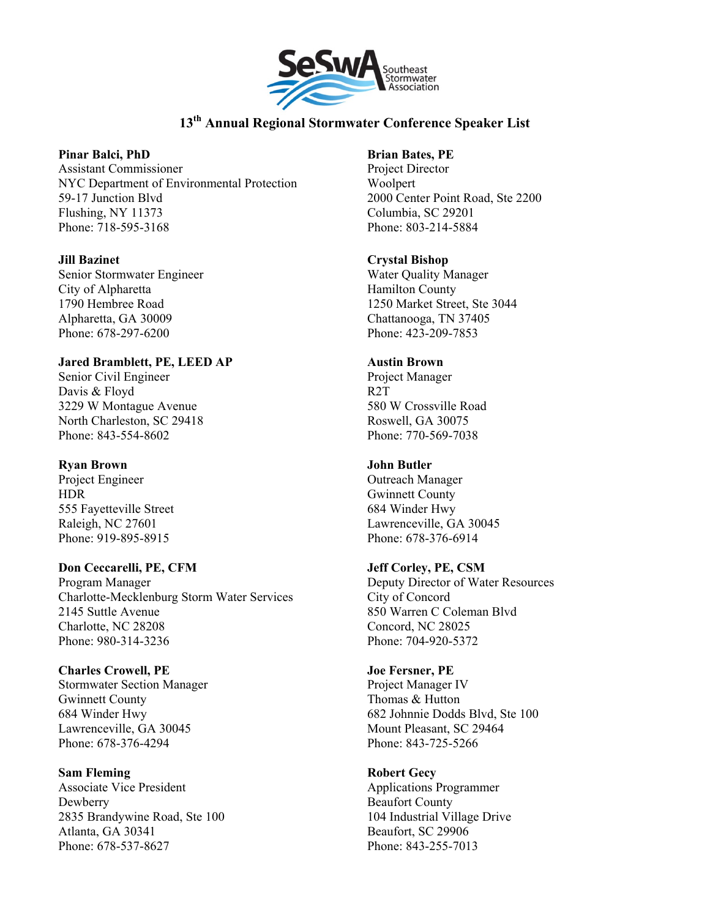

# **13th Annual Regional Stormwater Conference Speaker List**

### **Pinar Balci, PhD**

Assistant Commissioner NYC Department of Environmental Protection 59-17 Junction Blvd Flushing, NY 11373 Phone: 718-595-3168

### **Jill Bazinet**

Senior Stormwater Engineer City of Alpharetta 1790 Hembree Road Alpharetta, GA 30009 Phone: 678-297-6200

### **Jared Bramblett, PE, LEED AP**

Senior Civil Engineer Davis & Floyd 3229 W Montague Avenue North Charleston, SC 29418 Phone: 843-554-8602

# **Ryan Brown**

Project Engineer HDR 555 Fayetteville Street Raleigh, NC 27601 Phone: 919-895-8915

# **Don Ceccarelli, PE, CFM**

Program Manager Charlotte-Mecklenburg Storm Water Services 2145 Suttle Avenue Charlotte, NC 28208 Phone: 980-314-3236

#### **Charles Crowell, PE**

Stormwater Section Manager Gwinnett County 684 Winder Hwy Lawrenceville, GA 30045 Phone: 678-376-4294

**Sam Fleming** Associate Vice President Dewberry 2835 Brandywine Road, Ste 100

Atlanta, GA 30341 Phone: 678-537-8627

# **Brian Bates, PE**

Project Director Woolpert 2000 Center Point Road, Ste 2200 Columbia, SC 29201 Phone: 803-214-5884

### **Crystal Bishop**

Water Quality Manager Hamilton County 1250 Market Street, Ste 3044 Chattanooga, TN 37405 Phone: 423-209-7853

### **Austin Brown**

Project Manager R2T 580 W Crossville Road Roswell, GA 30075 Phone: 770-569-7038

# **John Butler**

Outreach Manager Gwinnett County 684 Winder Hwy Lawrenceville, GA 30045 Phone: 678-376-6914

# **Jeff Corley, PE, CSM**

Deputy Director of Water Resources City of Concord 850 Warren C Coleman Blvd Concord, NC 28025 Phone: 704-920-5372

# **Joe Fersner, PE** Project Manager IV

Thomas & Hutton 682 Johnnie Dodds Blvd, Ste 100 Mount Pleasant, SC 29464 Phone: 843-725-5266

# **Robert Gecy**

Applications Programmer Beaufort County 104 Industrial Village Drive Beaufort, SC 29906 Phone: 843-255-7013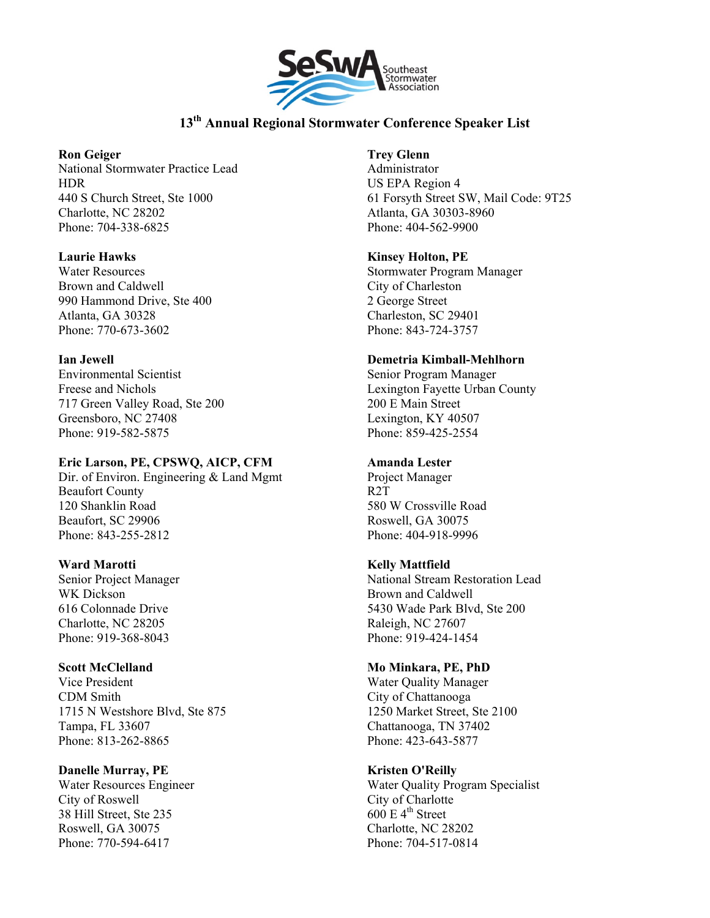

# **13th Annual Regional Stormwater Conference Speaker List**

### **Ron Geiger**

National Stormwater Practice Lead HDR 440 S Church Street, Ste 1000 Charlotte, NC 28202 Phone: 704-338-6825

# **Laurie Hawks**

Water Resources Brown and Caldwell 990 Hammond Drive, Ste 400 Atlanta, GA 30328 Phone: 770-673-3602

### **Ian Jewell**

Environmental Scientist Freese and Nichols 717 Green Valley Road, Ste 200 Greensboro, NC 27408 Phone: 919-582-5875

# **Eric Larson, PE, CPSWQ, AICP, CFM**

Dir. of Environ. Engineering & Land Mgmt Beaufort County 120 Shanklin Road Beaufort, SC 29906 Phone: 843-255-2812

# **Ward Marotti**

Senior Project Manager WK Dickson 616 Colonnade Drive Charlotte, NC 28205 Phone: 919-368-8043

# **Scott McClelland**

Vice President CDM Smith 1715 N Westshore Blvd, Ste 875 Tampa, FL 33607 Phone: 813-262-8865

# **Danelle Murray, PE**

Water Resources Engineer City of Roswell 38 Hill Street, Ste 235 Roswell, GA 30075 Phone: 770-594-6417

# **Trey Glenn**

Administrator US EPA Region 4 61 Forsyth Street SW, Mail Code: 9T25 Atlanta, GA 30303-8960 Phone: 404-562-9900

### **Kinsey Holton, PE**

Stormwater Program Manager City of Charleston 2 George Street Charleston, SC 29401 Phone: 843-724-3757

# **Demetria Kimball-Mehlhorn**

Senior Program Manager Lexington Fayette Urban County 200 E Main Street Lexington, KY 40507 Phone: 859-425-2554

# **Amanda Lester**

Project Manager R2T 580 W Crossville Road Roswell, GA 30075 Phone: 404-918-9996

# **Kelly Mattfield**

National Stream Restoration Lead Brown and Caldwell 5430 Wade Park Blvd, Ste 200 Raleigh, NC 27607 Phone: 919-424-1454

# **Mo Minkara, PE, PhD**

Water Quality Manager City of Chattanooga 1250 Market Street, Ste 2100 Chattanooga, TN 37402 Phone: 423-643-5877

# **Kristen O'Reilly**

Water Quality Program Specialist City of Charlotte  $600 \text{ E } 4^{\text{th}}$  Street Charlotte, NC 28202 Phone: 704-517-0814